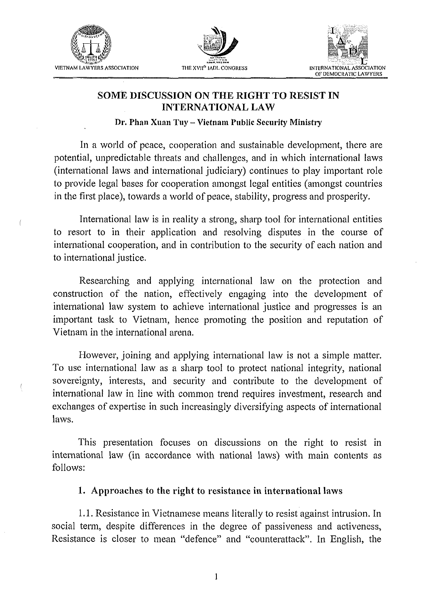





### SOME DISCUSSION ON THE RIGHT TO RESIST IN INTERNATIONAL LAW

**Dr. Phan Xuan Tuy – Vietnam Public Security Ministry** 

In a world of peace, cooperation and sustainable development, there are potential, unpredictable threats and challenges, and in which international laws (international laws and international judiciary) continues to play important role to provide legal bases for cooperation amongst legal entities (amongst countries in the first place), towards a world of peace, stability, progress and prosperity.

International law is in reality a strong, sharp tool for international entities to resort to in their application and resolving disputes in the course of international cooperation, and in contribution to the security of each nation and to international justice.

Researching and applying international law on the protection and construction of the nation, effectively engaging into the development of international law system to achieve international justice and progresses is an important task to Vietnam, hence promoting the position and reputation of Vietnam in the international arena.

However, joining and applying international law is not a simple matter. To use international law as a sharp tool to protect national integrity, national sovereignty, interests, and security and contribute to the development of international law in line with common trend requires investment, research and exchanges of expertise in such increasingly diversifying aspects of international laws.

This presentation focuses on discussions on the right to resist in international law (in accordance with national laws) with main contents as follows:

#### **1.** Approaches to the right to resistance in international laws

1.1. Resistance in Vietnamese means literally to resist against intrusion. In social term, despite differences in the degree of passiveness and activeness, Resistance is closer to mean "defence" and "counterattack". In English, the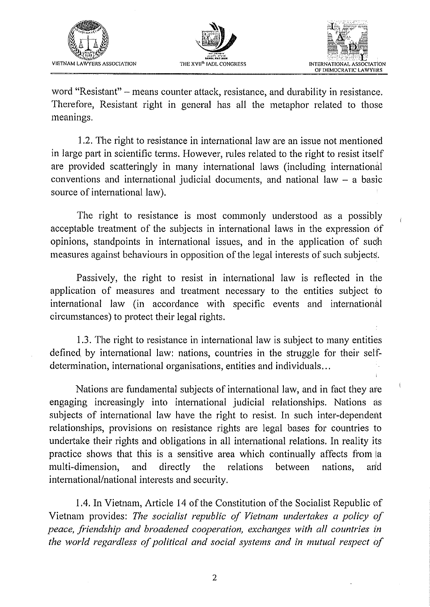





word "Resistant" – means counter attack, resistance, and durability in resistance. Therefore, Resistant right in general has all the metaphor related to those meanings.

1.2. The right to resistance in international law are an issue not mentioned in large part in scientific terms. However, rules related to the right to resist itself are provided scatteringly in many international laws (including international conventions and international judicial documents, and national law - a basic source of international law).

The right to resistance is most commonly understood as a possibly acceptable treatment of the subjects in international laws in the expression of opinions, standpoints in international issues, and in the application of such measures against behaviours in opposition of the legal interests of such subjects.

Passively, the right to resist in international law is reflected in the application of measures and treatment necessary to the entities subject to international law (in accordance with specific events and international circumstances) to protect their legal rights.

1.3. The right to resistance in international law is subject to many entities defined. by international law: nations, countries in the struggle for their selFdetermination, international organisations, entities and individuals.. .

Nations are fundamental subjects of international law, and in fact they are engaging increasingly into international judicial relationships. Nations as subjects of international law have the right to resist. In such inter-dependent relationships, provisions on resistance rights are legal bases for countries to undertake their rights and obligations in all international relations. In reality its practice shows that this is a sensitive area which continually affects from a multi-dimension, and directly the relations between nations, and international/national interests and security.

1.4. In Vietnam, Article 14 of the Constitution of the Socialist Republic of Vietnam provides: *The socialist republic of Vietnam undertakes a policy of peace, friendship and broadened cooperation, exchanges with all countries in the world regardless of political and social systems and in rnufual respect of*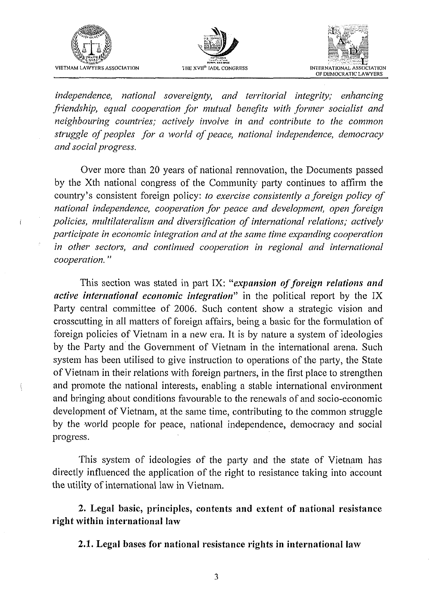

 $\overline{\mathbf{f}}$ 

ţ





independence, national sovereignty, and territorial integrity; enhancing friendship, equal cooperation for mutual benefits with former socialist and neighbouring countries; actively involve in and contribute to the common struggle of peoples for a world of peace, national independence, democracy and social progress.

Over more than 20 years of national rennovation, the Documents passed by the Xth national congress of the Community party continues to affirm the country's consistent foreign policy: to exercise consistently a foreign policy of national independence, cooperation for peace and development, open foreign policies, multilateralism and diversification of international relations; actively participate in economic integration and at the same time expanding cooperation in other sectors, and continued cooperation in regional and international cooperation."

This section was stated in part IX: "expansion of foreign relations and active international economic integration" in the political report by the IX Party central committee of 2006. Such content show a strategic vision and crosscutting in all matters of foreign affairs, being a basic for the formulation of foreign policies of Vietnam in a new era. It is by nature a system of ideologies by the Party and the Government of Vietnam in the international arena. Such system has been utilised to give instruction to operations of the party, the State of Vietnam in their relations with foreign partners, in the first place to strengthen and promote the national interests, enabling a stable international environment and bringing about conditions favourable to the renewals of and socio-economic development of Vietnam, at the same time, contributing to the common struggle by the world people for peace, national independence, democracy and social progress.

This system of ideologies of the party and the state of Vietnam has directly influenced the application of the right to resistance taking into account the utility of international law in Vietnam.

2. Legal basic, principles, contents and extent of national resistance right within international law

2.1. Legal bases for national resistance rights in international law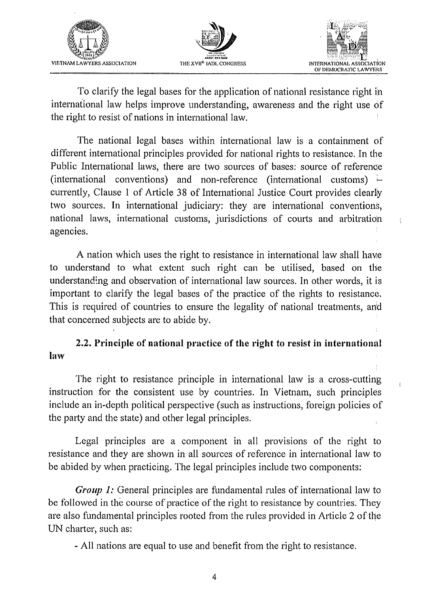





To clarify the legal bases for the application of national resistance right in international law helps improve understanding, awareness and the right use of the right to resist of nations in international law.

The national legal bases within international law is a containment of different international principles provided for national rights to resistance. In the Public International laws, there are two sources of bases: source of referenoe (international conventions) and non-reference (international customs)  $\vdash$ currently, Clause 1 of Article 38 of International Justice Court provides clearly two sources. In international judiciary: they are international conventions, national laws, international customs, jurisdictions of courts and arbitration agencies.

A nation which uses the right to resistance in international law shall have to understand to what extent such right can be utilised, based on the understanding and observation of international law sources. In other words, it is important to clarify the legal bases of the practice of the rights to resistance. This is required of countries to ensure the legality of national treatments, and that concerned subjects are to abide by.

# **2.2. Principle of national practice of the right to resist in international law**

The right to resistance principle in international law is a cross-cutting instruction for the consistent use by countries. In Vietnam, such principles include an in-depth political perspective (such as instructions, foreign policies of the party and the state) and other legal principles.

Legal principles are a component in all provisions of the right to resistance and they are shown in all sources of reference in international law to be abided by when practicing. The legal principles include two components:

*Group 1:* General principles are fundamental rules of international law to be followed in the course of practice of the right to resistance by countries. They are also fundamental principles rooted from the rules provided in Article 2 of the UN charter, such as:

- All nations are equal to use and benefit from the right to resistance.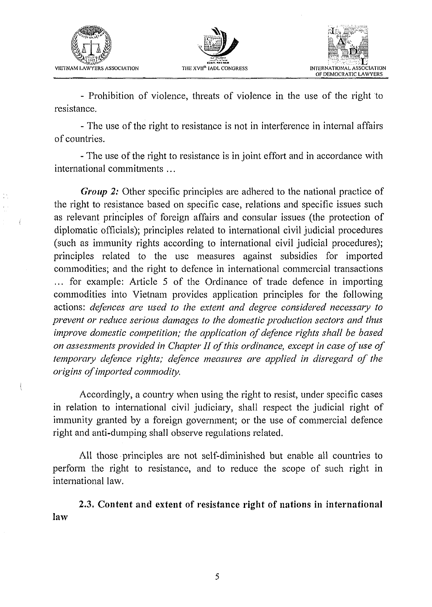

Ť





- Prohibition of violence, threats of violence in the use of the right to resistance.

- The use of the right to resistance is not in interference in internal affairs of countries.

- The use of the right to resistance is in joint effort and in accordance with international commitments . . .

*Group 2:* Other specific principles are adhered to the national practice of the right to resistance based on specific case, relations and specific issues such as relevant principles of foreign affairs and consular issues (the protection of diplomatic officials); principles related to international civil judicial procedures (such as immunity rights according to international civil judicial procedures); principles related to the use measures against subsidies for imported commodities; and the right to defence in international commercial transactions ... for example: Article 5 of the Ordinance of trade defence in importing commodities into Vietnam provides application principles for the following actions: *defences are used to the extent and degree considered necessary to prevent or reduce serious damages to the domestic production sectors and thus improve domestic competition; the application of defence rights shall be based on assessments provided in Chapter 11 of this ordinance, except in case of use of temporary defence rights; defence measures are applied in disregard of the origins of imported commodity.* 

Accordingly, a country when using the right to resist, under specific cases in relation to international civil judiciary, shall respect the judicial right of immunity granted by a foreign government; or the use of commercial defence right and anti-dumping shall observe regulations related.

All those principles are not self-diminished but enable all countries to perform the right to resistance, and to reduce the scope of such right in international law.

2.3. Content and extent of resistance right of nations in international law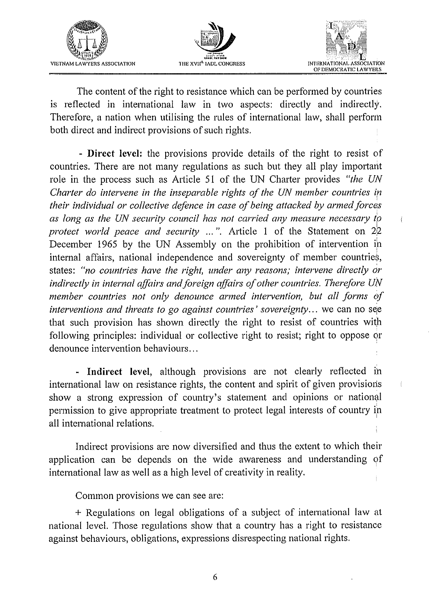





THE RIGHT OF DEMOCRATIC LAWYERS ASSOCIATION<br>
THE XVIETNAM LAWYERS ASSOCIATION<br>
THE XVIETNAM LAWYERS ASSOCIATION<br>
THE CONTENT OF DEMOCRATIC LAWYERS ASSOCIATION<br>
The content of the right to resistance which can be performed The content of the right to resistance which can be performed by countries is reflected in international law in two aspects: directly and indirectly. Therefore, a nation when utilising the rules of international law, shall perform both direct and indirect provisions of such rights.

- **Direct level:** the provisions provide details of the right to resist of countries. There are not many regulations as such but they all play important role in the process such as Article 51 of the UN Charter provides "the UN *Charter do intervene in the inseparable rights of the UN member countries in their individual or collective defence in case of being attacked by armed forces as long as the UN security council has not carried any measure necessmy to protect world peace and security ...*". Article 1 of the Statement on 22 December 1965 by the UN Assembly on the prohibition of intervention in internal affairs, national independence and sovereignty of member countries, states: *"no countries have the right, under any reasons; intervene directly or indirectly in internal affairs and foreign affairs of other countries. Therefore UN member countries not only denounce armed intervention, but all forms of interventions and threats to go against countries' sovereignty...* we can no see that such provision has shown directly the right to resist of countries with following principles: individual or collective right to resist; right to oppose or denounce intervention behaviours.. .

- **Indirect level,** although provisions are not clearly reflected in international law on resistance rights, the content and spirit of given provisions show a strong expression of country's statement and opinions or national permission to give appropriate treatment to protect legal interests of country in all international relations.

Indirect provisions are now diversified and thus the extent to which their application can be depends on the wide awareness and understanding of international law as well as a high level of creativity in reality.

Common provisions we can see are:

+ Regulations on legal obligations of a subject of international law at national level. Those regulations show that a country has a right to resistance against behaviours, obligations, expressions disrespecting national rights.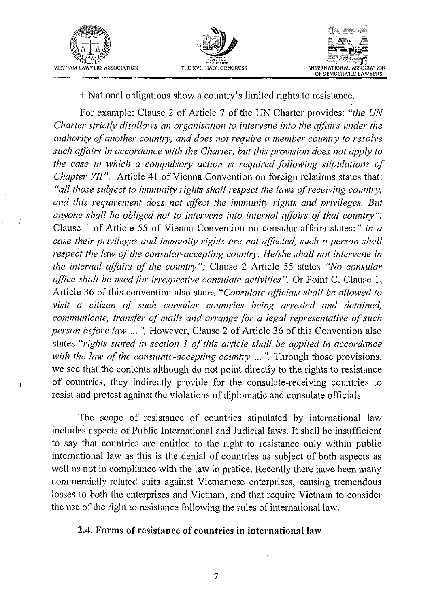





+ National obligations show a country's limited rights to resistance.

For example: Clause 2 of Article 7 of the UN Charter provides: *"the* UN *Charter strictly disallows an organisation to intervene into the affairs under the authority of another country, and does not require a member country to resolve* such affairs in accordance with the Charter, but this provision does not apply to the case in which a compulsory action is required following stipulations of *Chapter VII".* Article *41* of Vienna Convention on foreign relations states that: "all those subject to immunity rights shall respect the laws of receiving country, *and this requirement does not affect the immunity rights and privileges. But anyone shall be obliged not to intervene into internal affairs of that country"*. Clause 1 of Article 55 of Vienna Convention on consular affairs states:" *in a case their privileges and immunity rights are not affected, such a person shall respect the law of the consular-accepting country. He/she shall not intervene in the internal affairs of the country"; Clause 2 Article 55 states "No consular office shall be used for irrespective consulate activities". Or Point C, Clause 1,* Article 36 of this convention also states *"Consulate officials sliall be allowed to*  visit a citizen of such consular countries being arrested and detained, *communicate, transfer of mails and arrange for a legal representative of such person before law* ... ", However, Clause 2 of Article 36 of this Convention also states "rights stated in section 1 of this article shall be applied in accordance *with the law of the consulate-accepting country ...* ". Through those provisions, we see that the contents although do not point directly to the rights to resistance of countries, they indirectly provide for the consulate-receiving countries to resist and protest against the violations of diplomatic and consulate officials.

The scope of resistance of countries stipulated by international law includes aspects of Public International and Judicial laws. It shall be insufficient to say that countries are entitled to the right to resistance only within public international law as this is the denial of countries as subject of both aspects as well as not in compliance with the law in pratice. Recently there have been many commercially-related suits against Vietnamese enterprises, causing tremendous losses to both the enterprises and Vietnam, and that require Vietnam to consider the use of the right to resistance following the rules of international law.

#### **2.4. Forms of resistance of countries in international law**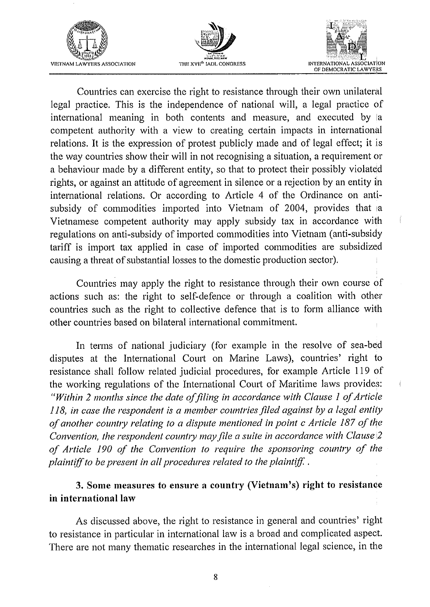





 $\left($ 

Countries can exercise the right to resistance through their own unilateral legal practice. This is the independence of national will, a legal practice of international meaning in both contents and measure, and executed by a competent authority with a view to creating certain impacts in international relations. It is the expression of protest publicly made and of legal effect; it is the way countries show their will in not recognising a situation, a requirement or a behaviour made by a different entity, so that to protect their possibly violated rights, or against an attitude of agreement in silence or a rejection by an entity in international relations. Or according to Article 4 of the Ordinance on antisubsidy of commodities imported into Vietnam of 2004, provides that a Vietnamese competent authority may apply subsidy tax in accordance with regulations on anti-subsidy of imported comnodities into Vietnam (anti-subsidy tariff is import tax applied in case of imported commodities are subsidized causing a threat of substantial losses to the domestic production sector).

Countries may apply the right to resistance through their own course of actions such as: the right to self-defence or through a coalition with other countries such as the right to collective defence that is to form alliance with other countries based on bilateral international commitment.

In terms of national judiciary (for example in the resolve of sea-bed disputes at the International Court on Marine Laws), countries' right to resistance shall follow related judicial procedures, for example Article 119 of the working regulations of the International Court of Maritime laws provides: *"Within* 2 *montlis since the date offling in accordance with Clause 1 of Article 118, in case the respondent is a member countries filed against by a legal entity* of another country relating to a dispute mentioned in point c Article 187 of the *Convention, the respondent country may file a suite in accordance with Clause* 2 of Article 190 of the Convention to require the sponsoring country of the *plaintiff to be present in all procedures related to the plaintiff.* 

# *3. Some measures to ensure a country (Vietnam's) right to resistanoe in international law*

As discussed above, the right to resistance in general and countries' right to resistance in particular in international law is a broad and complicated aspect. There are not many thematic researches in the international legal science, in the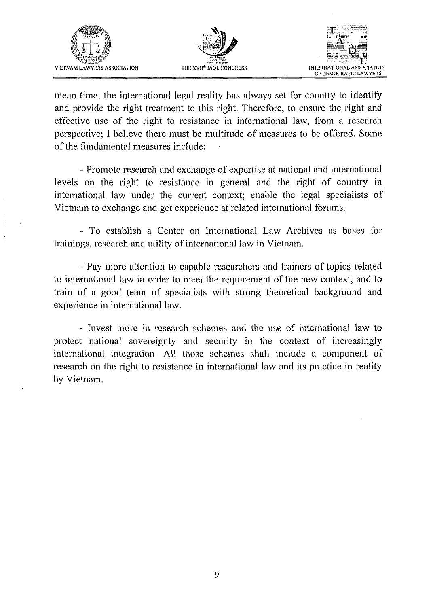

 $\label{eq:1} \begin{array}{lll} \displaystyle \frac{1}{2} & \displaystyle \frac{1}{2} & \displaystyle \frac{1}{2} & \displaystyle \frac{1}{2} \\ \displaystyle \frac{1}{2} & \displaystyle \frac{1}{2} & \displaystyle \frac{1}{2} & \displaystyle \frac{1}{2} \\ \displaystyle \frac{1}{2} & \displaystyle \frac{1}{2} & \displaystyle \frac{1}{2} & \displaystyle \frac{1}{2} \\ \displaystyle \frac{1}{2} & \displaystyle \frac{1}{2} & \displaystyle \frac{1}{2} & \displaystyle \frac{1}{2} \\ \displaystyle \frac{1}{2} & \displaystyle \frac{1}{2} & \displaystyle \frac{1$ 





mean time, the international legal reality has always set for country to identify and provide the right treatment to this right. Therefore, to ensure the right and effective use of the right to resistance in international law, from a research perspective; I believe there must be multitude of measures to be offered. Some of the fundamental measures include:

- Promote research and exchange of expertise at national and international levels on the right to resistance in general and the right of country in international law under the current context; enable the legal specialists of Vietnam to exchange and get experience at related international forums.

- To establish a Center on International Law Archives as bases for trainings, research and utility of international law in Vietnam.

- Pay more attention to capable researchers and trainers of topics related to international law in order to meet the requirement of the new context, and to train of a good team of specialists with strong theoretical background and experience in international law.

- Invest more in research schemes and the use of international law to protect national sovereignty and security in the context of increasingly international integration. All those schemes shall include a component of research on the right to resistance in international law and its practice in reality by Vietnam.